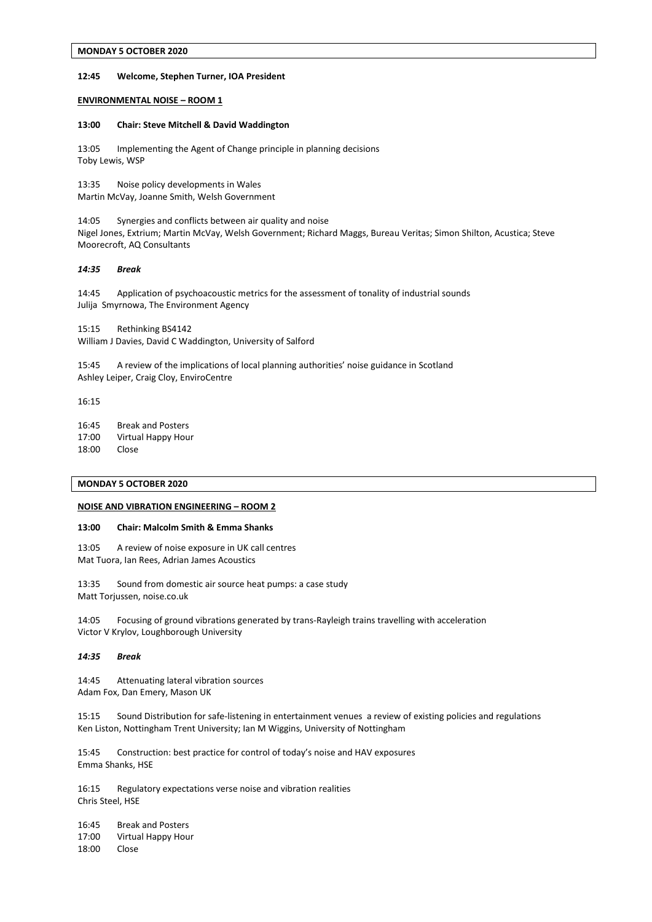# **12:45 Welcome, Stephen Turner, IOA President**

### **ENVIRONMENTAL NOISE – ROOM 1**

### **13:00 Chair: Steve Mitchell & David Waddington**

13:05 Implementing the Agent of Change principle in planning decisions Toby Lewis, WSP

13:35 Noise policy developments in Wales Martin McVay, Joanne Smith, Welsh Government

14:05 Synergies and conflicts between air quality and noise Nigel Jones, Extrium; Martin McVay, Welsh Government; Richard Maggs, Bureau Veritas; Simon Shilton, Acustica; Steve Moorecroft, AQ Consultants

#### *14:35 Break*

14:45 Application of psychoacoustic metrics for the assessment of tonality of industrial sounds Julija Smyrnowa, The Environment Agency

15:15 Rethinking BS4142 William J Davies, David C Waddington, University of Salford

15:45 A review of the implications of local planning authorities' noise guidance in Scotland Ashley Leiper, Craig Cloy, EnviroCentre

16:15

16:45 Break and Posters 17:00 Virtual Happy Hour 18:00 Close

# **MONDAY 5 OCTOBER 2020**

## **NOISE AND VIBRATION ENGINEERING – ROOM 2**

### **13:00 Chair: Malcolm Smith & Emma Shanks**

13:05 A review of noise exposure in UK call centres Mat Tuora, Ian Rees, Adrian James Acoustics

13:35 Sound from domestic air source heat pumps: a case study Matt Torjussen, noise.co.uk

14:05 Focusing of ground vibrations generated by trans-Rayleigh trains travelling with acceleration Victor V Krylov, Loughborough University

#### *14:35 Break*

14:45 Attenuating lateral vibration sources Adam Fox, Dan Emery, Mason UK

15:15 Sound Distribution for safe-listening in entertainment venues a review of existing policies and regulations Ken Liston, Nottingham Trent University; Ian M Wiggins, University of Nottingham

15:45 Construction: best practice for control of today's noise and HAV exposures Emma Shanks, HSE

16:15 Regulatory expectations verse noise and vibration realities Chris Steel, HSE

16:45 Break and Posters 17:00 Virtual Happy Hour 18:00 Close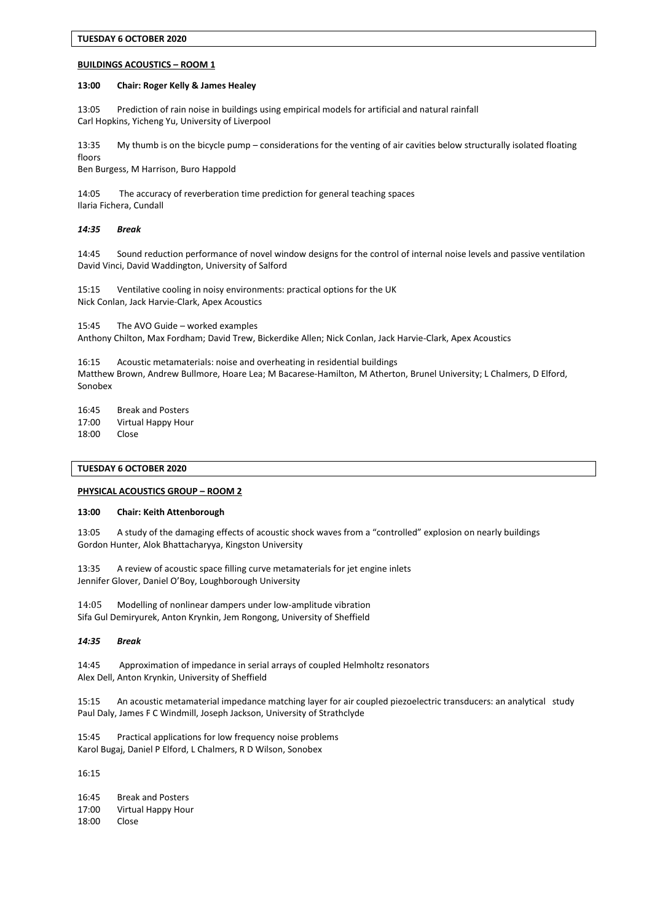# **BUILDINGS ACOUSTICS – ROOM 1**

#### **13:00 Chair: Roger Kelly & James Healey**

13:05 Prediction of rain noise in buildings using empirical models for artificial and natural rainfall Carl Hopkins, Yicheng Yu, University of Liverpool

13:35 My thumb is on the bicycle pump – considerations for the venting of air cavities below structurally isolated floating floors

Ben Burgess, M Harrison, Buro Happold

14:05 The accuracy of reverberation time prediction for general teaching spaces Ilaria Fichera, Cundall

### *14:35 Break*

14:45 Sound reduction performance of novel window designs for the control of internal noise levels and passive ventilation David Vinci, David Waddington, University of Salford

15:15 Ventilative cooling in noisy environments: practical options for the UK Nick Conlan, Jack Harvie-Clark, Apex Acoustics

15:45 The AVO Guide – worked examples

Anthony Chilton, Max Fordham; David Trew, Bickerdike Allen; Nick Conlan, Jack Harvie-Clark, Apex Acoustics

16:15 Acoustic metamaterials: noise and overheating in residential buildings Matthew Brown, Andrew Bullmore, Hoare Lea; M Bacarese-Hamilton, M Atherton, Brunel University; L Chalmers, D Elford, Sonobex

16:45 Break and Posters 17:00 Virtual Happy Hour 18:00 Close

# **TUESDAY 6 OCTOBER 2020**

# **PHYSICAL ACOUSTICS GROUP – ROOM 2**

**13:00 Chair: Keith Attenborough**

13:05 A study of the damaging effects of acoustic shock waves from a "controlled" explosion on nearly buildings Gordon Hunter, Alok Bhattacharyya, Kingston University

13:35 A review of acoustic space filling curve metamaterials for jet engine inlets Jennifer Glover, Daniel O'Boy, Loughborough University

14:05 Modelling of nonlinear dampers under low-amplitude vibration Sifa Gul Demiryurek, Anton Krynkin, Jem Rongong, University of Sheffield

# *14:35 Break*

14:45 Approximation of impedance in serial arrays of coupled Helmholtz resonators Alex Dell, Anton Krynkin, University of Sheffield

15:15 An acoustic metamaterial impedance matching layer for air coupled piezoelectric transducers: an analytical study Paul Daly, James F C Windmill, Joseph Jackson, University of Strathclyde

15:45 Practical applications for low frequency noise problems Karol Bugaj, Daniel P Elford, L Chalmers, R D Wilson, Sonobex

16:15

16:45 Break and Posters 17:00 Virtual Happy Hour 18:00 Close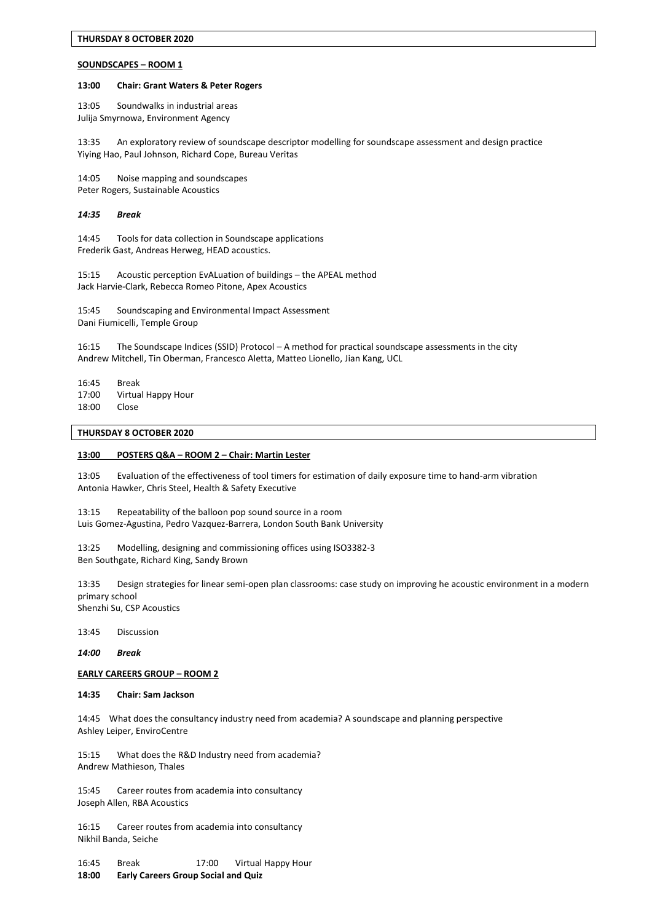# **SOUNDSCAPES – ROOM 1**

#### **13:00 Chair: Grant Waters & Peter Rogers**

13:05 Soundwalks in industrial areas Julija Smyrnowa, Environment Agency

13:35 An exploratory review of soundscape descriptor modelling for soundscape assessment and design practice Yiying Hao, Paul Johnson, Richard Cope, Bureau Veritas

14:05 Noise mapping and soundscapes Peter Rogers, Sustainable Acoustics

### *14:35 Break*

14:45 Tools for data collection in Soundscape applications Frederik Gast, Andreas Herweg, HEAD acoustics.

15:15 Acoustic perception EvALuation of buildings – the APEAL method Jack Harvie-Clark, Rebecca Romeo Pitone, Apex Acoustics

15:45 Soundscaping and Environmental Impact Assessment Dani Fiumicelli, Temple Group

16:15 The Soundscape Indices (SSID) Protocol – A method for practical soundscape assessments in the city Andrew Mitchell, Tin Oberman, Francesco Aletta, Matteo Lionello, Jian Kang, UCL

16:45 Break 17:00 Virtual Happy Hour 18:00 Close

### **THURSDAY 8 OCTOBER 2020**

# **13:00 POSTERS Q&A – ROOM 2 – Chair: Martin Lester**

13:05 Evaluation of the effectiveness of tool timers for estimation of daily exposure time to hand-arm vibration Antonia Hawker, Chris Steel, Health & Safety Executive

13:15 Repeatability of the balloon pop sound source in a room Luis Gomez-Agustina, Pedro Vazquez-Barrera, London South Bank University

13:25 Modelling, designing and commissioning offices using ISO3382-3 Ben Southgate, Richard King, Sandy Brown

13:35 Design strategies for linear semi-open plan classrooms: case study on improving he acoustic environment in a modern primary school Shenzhi Su, CSP Acoustics

13:45 Discussion

*14:00 Break*

**EARLY CAREERS GROUP – ROOM 2**

### **14:35 Chair: Sam Jackson**

14:45 What does the consultancy industry need from academia? A soundscape and planning perspective Ashley Leiper, EnviroCentre

15:15 What does the R&D Industry need from academia? Andrew Mathieson, Thales

15:45 Career routes from academia into consultancy Joseph Allen, RBA Acoustics

16:15 Career routes from academia into consultancy Nikhil Banda, Seiche

16:45 Break 17:00 Virtual Happy Hour **18:00 Early Careers Group Social and Quiz**